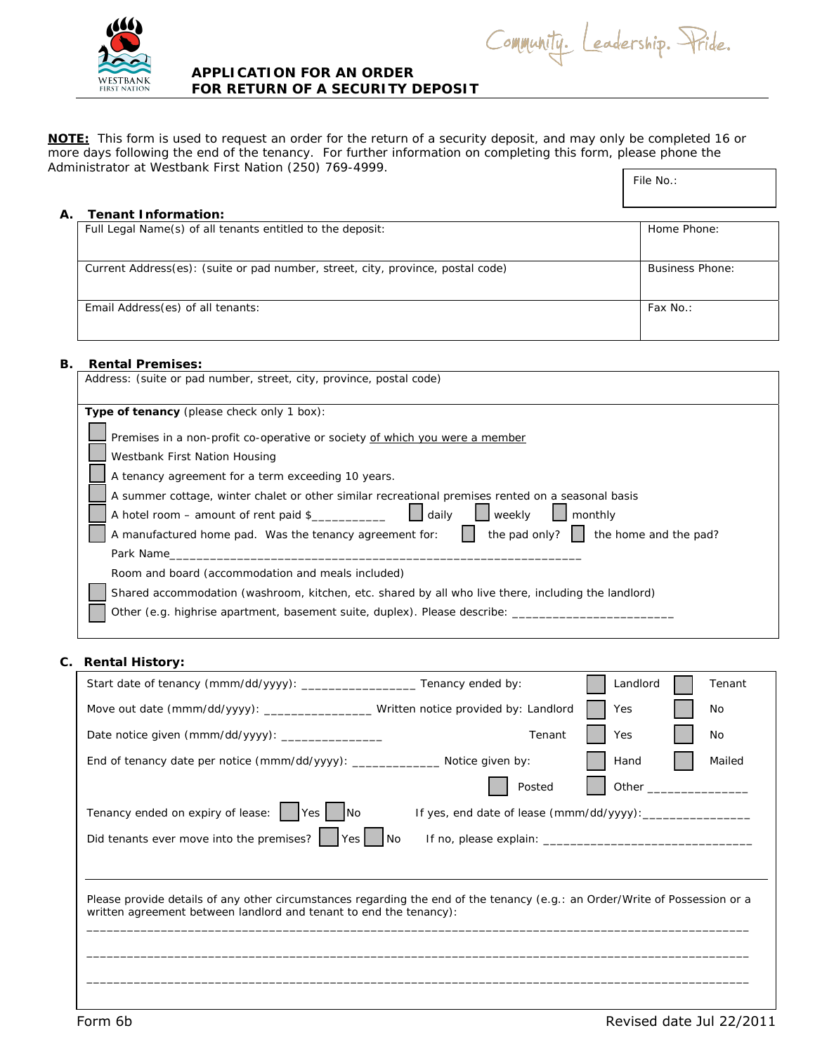

## **APPLICATION FOR AN ORDER FOR RETURN OF A SECURITY DEPOSIT**

**NOTE:** This form is used to request an order for the return of a security deposit, and may only be completed 16 or more days following the end of the tenancy. For further information on completing this form, please phone the Administrator at Westbank First Nation (250) 769-4999.

| File No.: |  |
|-----------|--|

| А. | Tenant Information:                                                             |                 |  |  |
|----|---------------------------------------------------------------------------------|-----------------|--|--|
|    | Full Legal Name(s) of all tenants entitled to the deposit:                      | Home Phone:     |  |  |
|    |                                                                                 |                 |  |  |
|    |                                                                                 |                 |  |  |
|    | Current Address(es): (suite or pad number, street, city, province, postal code) | Business Phone: |  |  |
|    |                                                                                 |                 |  |  |
|    |                                                                                 |                 |  |  |
|    | Email Address(es) of all tenants:                                               | Fax No.:        |  |  |
|    |                                                                                 |                 |  |  |
|    |                                                                                 |                 |  |  |

## **B. Rental Premises:**

| Address: (suite or pad number, street, city, province, postal code)                                        |  |  |
|------------------------------------------------------------------------------------------------------------|--|--|
| <b>Type of tenancy</b> (please check only 1 box):                                                          |  |  |
| Premises in a non-profit co-operative or society of which you were a member                                |  |  |
| Westbank First Nation Housing                                                                              |  |  |
| A tenancy agreement for a term exceeding 10 years.                                                         |  |  |
| A summer cottage, winter chalet or other similar recreational premises rented on a seasonal basis          |  |  |
| A hotel room - amount of rent paid \$<br>daily<br><b>I</b> weekly<br>monthly                               |  |  |
| the pad only? $\ \cdot\ $ the home and the pad?<br>A manufactured home pad. Was the tenancy agreement for: |  |  |
| Park Name                                                                                                  |  |  |
| Room and board (accommodation and meals included)                                                          |  |  |
| Shared accommodation (washroom, kitchen, etc. shared by all who live there, including the landlord)        |  |  |
| Other (e.g. highrise apartment, basement suite, duplex). Please describe: _                                |  |  |
|                                                                                                            |  |  |

## **C. Rental History:**

| Start date of tenancy (mmm/dd/yyyy): _____________________Tenancy ended by:                                                                                                                       | Landlord | Tenant |
|---------------------------------------------------------------------------------------------------------------------------------------------------------------------------------------------------|----------|--------|
| Move out date (mmm/dd/yyyy): _____________________Written notice provided by: Landlord                                                                                                            | Yes      | No     |
| Tenant<br>Date notice given (mmm/dd/yyyy): ________________                                                                                                                                       | Yes      | No     |
| End of tenancy date per notice (mmm/dd/yyyy): _________________ Notice given by:                                                                                                                  | Hand     | Mailed |
| Posted                                                                                                                                                                                            | Other    |        |
| Tenancy ended on expiry of lease:     Yes     No                                                                                                                                                  |          |        |
| Did tenants ever move into the premises? $\begin{bmatrix}   &   & \n\end{bmatrix}$ Yes $\begin{bmatrix}   &  \n\end{bmatrix}$ No                                                                  |          |        |
|                                                                                                                                                                                                   |          |        |
| Please provide details of any other circumstances regarding the end of the tenancy (e.g.: an Order/Write of Possession or a<br>written agreement between landlord and tenant to end the tenancy): |          |        |